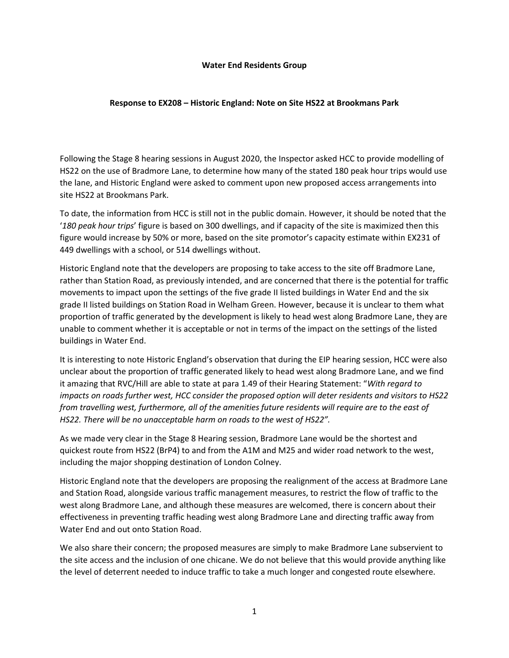## **Water End Residents Group**

## **Response to EX208 – Historic England: Note on Site HS22 at Brookmans Park**

Following the Stage 8 hearing sessions in August 2020, the Inspector asked HCC to provide modelling of HS22 on the use of Bradmore Lane, to determine how many of the stated 180 peak hour trips would use the lane, and Historic England were asked to comment upon new proposed access arrangements into site HS22 at Brookmans Park.

To date, the information from HCC is still not in the public domain. However, it should be noted that the '*180 peak hour trips*' figure is based on 300 dwellings, and if capacity of the site is maximized then this figure would increase by 50% or more, based on the site promotor's capacity estimate within EX231 of 449 dwellings with a school, or 514 dwellings without.

Historic England note that the developers are proposing to take access to the site off Bradmore Lane, rather than Station Road, as previously intended, and are concerned that there is the potential for traffic movements to impact upon the settings of the five grade II listed buildings in Water End and the six grade II listed buildings on Station Road in Welham Green. However, because it is unclear to them what proportion of traffic generated by the development is likely to head west along Bradmore Lane, they are unable to comment whether it is acceptable or not in terms of the impact on the settings of the listed buildings in Water End.

It is interesting to note Historic England's observation that during the EIP hearing session, HCC were also unclear about the proportion of traffic generated likely to head west along Bradmore Lane, and we find it amazing that RVC/Hill are able to state at para 1.49 of their Hearing Statement: "*With regard to impacts on roads further west, HCC consider the proposed option will deter residents and visitors to HS22 from travelling west, furthermore, all of the amenities future residents will require are to the east of HS22. There will be no unacceptable harm on roads to the west of HS22".* 

As we made very clear in the Stage 8 Hearing session, Bradmore Lane would be the shortest and quickest route from HS22 (BrP4) to and from the A1M and M25 and wider road network to the west, including the major shopping destination of London Colney.

Historic England note that the developers are proposing the realignment of the access at Bradmore Lane and Station Road, alongside various traffic management measures, to restrict the flow of traffic to the west along Bradmore Lane, and although these measures are welcomed, there is concern about their effectiveness in preventing traffic heading west along Bradmore Lane and directing traffic away from Water End and out onto Station Road.

We also share their concern; the proposed measures are simply to make Bradmore Lane subservient to the site access and the inclusion of one chicane. We do not believe that this would provide anything like the level of deterrent needed to induce traffic to take a much longer and congested route elsewhere.